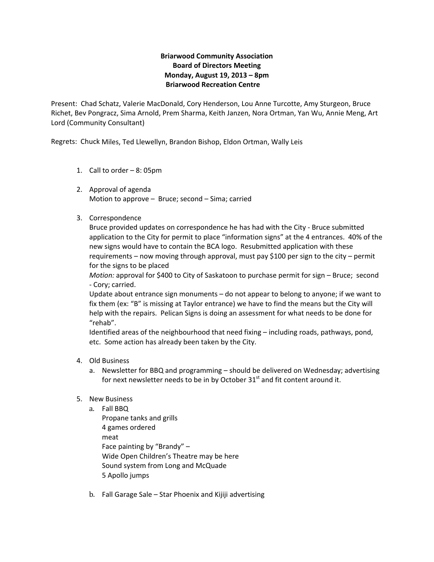## **Briarwood Community Association Board of Directors Meeting Monday, August 19, 2013 – 8pm Briarwood Recreation Centre**

Present: Chad Schatz, Valerie MacDonald, Cory Henderson, Lou Anne Turcotte, Amy Sturgeon, Bruce Richet, Bev Pongracz, Sima Arnold, Prem Sharma, Keith Janzen, Nora Ortman, Yan Wu, Annie Meng, Art Lord (Community Consultant)

Regrets: Chuck Miles, Ted Llewellyn, Brandon Bishop, Eldon Ortman, Wally Leis

- 1. Call to order 8: 05pm
- 2. Approval of agenda Motion to approve – Bruce; second – Sima; carried
- 3. Correspondence

Bruce provided updates on correspondence he has had with the City ‐ Bruce submitted application to the City for permit to place "information signs" at the 4 entrances. 40% of the new signs would have to contain the BCA logo. Resubmitted application with these requirements – now moving through approval, must pay \$100 per sign to the city – permit for the signs to be placed

*Motion:* approval for \$400 to City of Saskatoon to purchase permit for sign – Bruce; second ‐ Cory; carried.

Update about entrance sign monuments – do not appear to belong to anyone; if we want to fix them (ex: "B" is missing at Taylor entrance) we have to find the means but the City will help with the repairs. Pelican Signs is doing an assessment for what needs to be done for "rehab".

Identified areas of the neighbourhood that need fixing – including roads, pathways, pond, etc. Some action has already been taken by the City.

- 4. Old Business
	- a. Newsletter for BBQ and programming should be delivered on Wednesday; advertising for next newsletter needs to be in by October  $31<sup>st</sup>$  and fit content around it.
- 5. New Business
	- a. Fall BBQ Propane tanks and grills 4 games ordered meat Face painting by "Brandy" – Wide Open Children's Theatre may be here Sound system from Long and McQuade 5 Apollo jumps
	- b. Fall Garage Sale Star Phoenix and Kijiji advertising